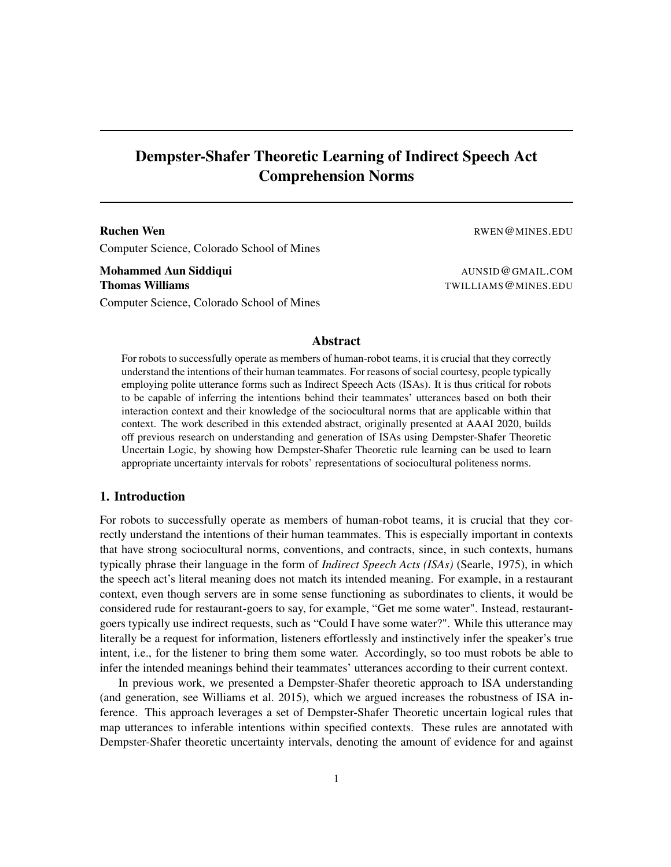# Dempster-Shafer Theoretic Learning of Indirect Speech Act Comprehension Norms

# Ruchen Wen **Ruchen Wen** RWEN **RWEN@MINES.EDU** Computer Science, Colorado School of Mines

Mohammed Aun Siddiqui and a community of the settlement of the settlement of the AUNSID@GMAIL.COM **Thomas Williams** TWILLIAMS @ MINES.EDU Computer Science, Colorado School of Mines

#### Abstract

For robots to successfully operate as members of human-robot teams, it is crucial that they correctly understand the intentions of their human teammates. For reasons of social courtesy, people typically employing polite utterance forms such as Indirect Speech Acts (ISAs). It is thus critical for robots to be capable of inferring the intentions behind their teammates' utterances based on both their interaction context and their knowledge of the sociocultural norms that are applicable within that context. The work described in this extended abstract, originally presented at AAAI 2020, builds off previous research on understanding and generation of ISAs using Dempster-Shafer Theoretic Uncertain Logic, by showing how Dempster-Shafer Theoretic rule learning can be used to learn appropriate uncertainty intervals for robots' representations of sociocultural politeness norms.

#### 1. Introduction

For robots to successfully operate as members of human-robot teams, it is crucial that they correctly understand the intentions of their human teammates. This is especially important in contexts that have strong sociocultural norms, conventions, and contracts, since, in such contexts, humans typically phrase their language in the form of *Indirect Speech Acts (ISAs)* (Searle, 1975), in which the speech act's literal meaning does not match its intended meaning. For example, in a restaurant context, even though servers are in some sense functioning as subordinates to clients, it would be considered rude for restaurant-goers to say, for example, "Get me some water". Instead, restaurantgoers typically use indirect requests, such as "Could I have some water?". While this utterance may literally be a request for information, listeners effortlessly and instinctively infer the speaker's true intent, i.e., for the listener to bring them some water. Accordingly, so too must robots be able to infer the intended meanings behind their teammates' utterances according to their current context.

In previous work, we presented a Dempster-Shafer theoretic approach to ISA understanding (and generation, see Williams et al. 2015), which we argued increases the robustness of ISA inference. This approach leverages a set of Dempster-Shafer Theoretic uncertain logical rules that map utterances to inferable intentions within specified contexts. These rules are annotated with Dempster-Shafer theoretic uncertainty intervals, denoting the amount of evidence for and against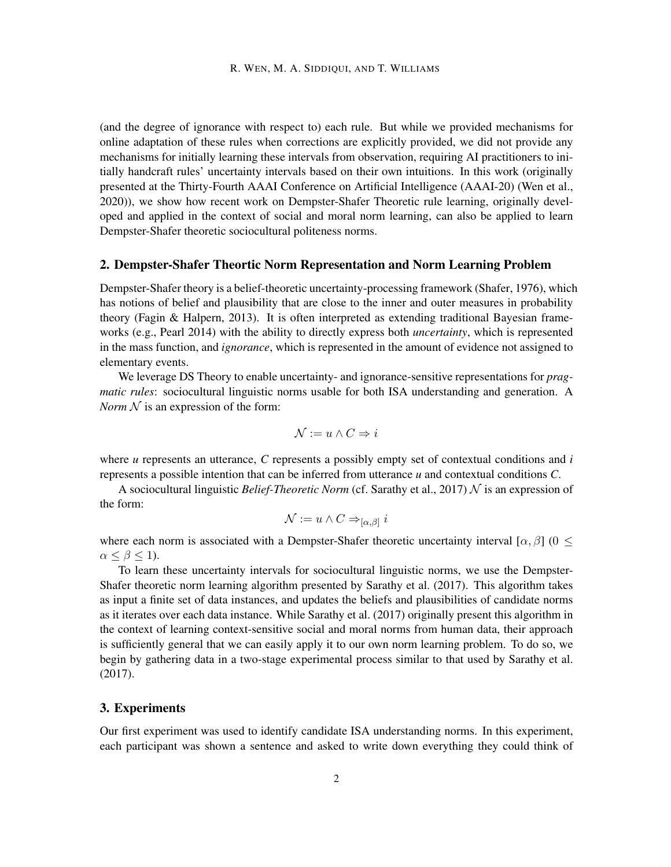(and the degree of ignorance with respect to) each rule. But while we provided mechanisms for online adaptation of these rules when corrections are explicitly provided, we did not provide any mechanisms for initially learning these intervals from observation, requiring AI practitioners to initially handcraft rules' uncertainty intervals based on their own intuitions. In this work (originally presented at the Thirty-Fourth AAAI Conference on Artificial Intelligence (AAAI-20) (Wen et al., 2020)), we show how recent work on Dempster-Shafer Theoretic rule learning, originally developed and applied in the context of social and moral norm learning, can also be applied to learn Dempster-Shafer theoretic sociocultural politeness norms.

## 2. Dempster-Shafer Theortic Norm Representation and Norm Learning Problem

Dempster-Shafer theory is a belief-theoretic uncertainty-processing framework (Shafer, 1976), which has notions of belief and plausibility that are close to the inner and outer measures in probability theory (Fagin & Halpern, 2013). It is often interpreted as extending traditional Bayesian frameworks (e.g., Pearl 2014) with the ability to directly express both *uncertainty*, which is represented in the mass function, and *ignorance*, which is represented in the amount of evidence not assigned to elementary events.

We leverage DS Theory to enable uncertainty- and ignorance-sensitive representations for *pragmatic rules*: sociocultural linguistic norms usable for both ISA understanding and generation. A *Norm*  $N$  is an expression of the form:

$$
\mathcal{N} := u \wedge C \Rightarrow i
$$

where *u* represents an utterance, *C* represents a possibly empty set of contextual conditions and *i* represents a possible intention that can be inferred from utterance *u* and contextual conditions *C*.

A sociocultural linguistic *Belief-Theoretic Norm* (cf. Sarathy et al., 2017) N is an expression of the form:

$$
\mathcal{N}:=u\wedge C\Rightarrow_{[\alpha,\beta]}i
$$

where each norm is associated with a Dempster-Shafer theoretic uncertainty interval [ $\alpha$ ,  $\beta$ ] ( $0 \leq$  $\alpha \leq \beta \leq 1$ ).

To learn these uncertainty intervals for sociocultural linguistic norms, we use the Dempster-Shafer theoretic norm learning algorithm presented by Sarathy et al. (2017). This algorithm takes as input a finite set of data instances, and updates the beliefs and plausibilities of candidate norms as it iterates over each data instance. While Sarathy et al. (2017) originally present this algorithm in the context of learning context-sensitive social and moral norms from human data, their approach is sufficiently general that we can easily apply it to our own norm learning problem. To do so, we begin by gathering data in a two-stage experimental process similar to that used by Sarathy et al. (2017).

## 3. Experiments

Our first experiment was used to identify candidate ISA understanding norms. In this experiment, each participant was shown a sentence and asked to write down everything they could think of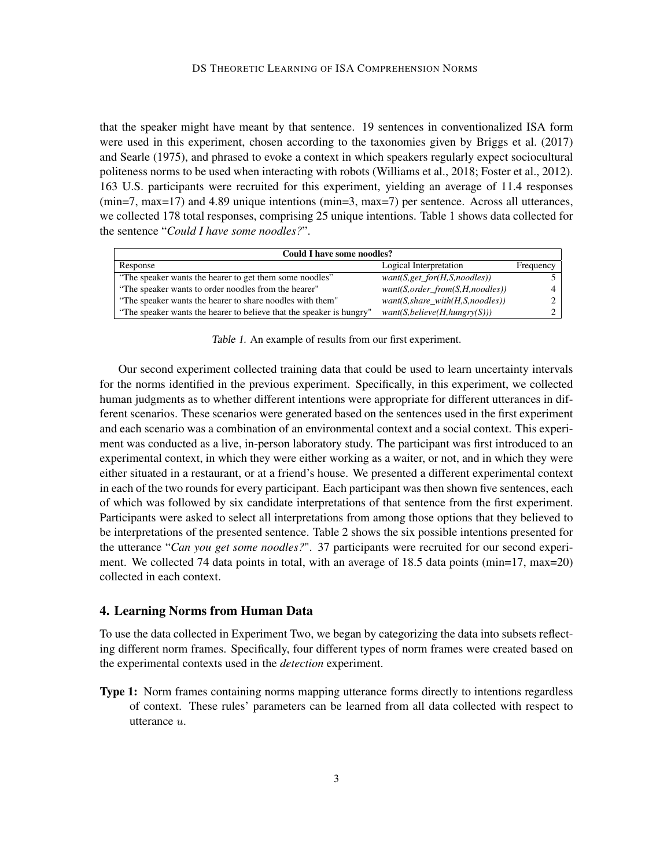that the speaker might have meant by that sentence. 19 sentences in conventionalized ISA form were used in this experiment, chosen according to the taxonomies given by Briggs et al. (2017) and Searle (1975), and phrased to evoke a context in which speakers regularly expect sociocultural politeness norms to be used when interacting with robots (Williams et al., 2018; Foster et al., 2012). 163 U.S. participants were recruited for this experiment, yielding an average of 11.4 responses (min=7, max=17) and 4.89 unique intentions (min=3, max=7) per sentence. Across all utterances, we collected 178 total responses, comprising 25 unique intentions. Table 1 shows data collected for the sentence "*Could I have some noodles?*".

| Could I have some noodles?                                           |                                       |           |
|----------------------------------------------------------------------|---------------------------------------|-----------|
| Response                                                             | Logical Interpretation                | Frequency |
| "The speaker wants the hearer to get them some noodles"              | $want(S, get\_for(H, S, noodes))$     |           |
| "The speaker wants to order noodles from the hearer"                 | $want(S, order\_from(S, H, noodles))$ |           |
| "The speaker wants the hearer to share noodles with them"            | want(S, share with (H, S, no odles))  |           |
| "The speaker wants the hearer to believe that the speaker is hungry" | want(S, believe(H, hungr)(S)))        |           |

Table 1. An example of results from our first experiment.

Our second experiment collected training data that could be used to learn uncertainty intervals for the norms identified in the previous experiment. Specifically, in this experiment, we collected human judgments as to whether different intentions were appropriate for different utterances in different scenarios. These scenarios were generated based on the sentences used in the first experiment and each scenario was a combination of an environmental context and a social context. This experiment was conducted as a live, in-person laboratory study. The participant was first introduced to an experimental context, in which they were either working as a waiter, or not, and in which they were either situated in a restaurant, or at a friend's house. We presented a different experimental context in each of the two rounds for every participant. Each participant was then shown five sentences, each of which was followed by six candidate interpretations of that sentence from the first experiment. Participants were asked to select all interpretations from among those options that they believed to be interpretations of the presented sentence. Table 2 shows the six possible intentions presented for the utterance "*Can you get some noodles?*". 37 participants were recruited for our second experiment. We collected 74 data points in total, with an average of 18.5 data points (min=17, max=20) collected in each context.

# 4. Learning Norms from Human Data

To use the data collected in Experiment Two, we began by categorizing the data into subsets reflecting different norm frames. Specifically, four different types of norm frames were created based on the experimental contexts used in the *detection* experiment.

Type 1: Norm frames containing norms mapping utterance forms directly to intentions regardless of context. These rules' parameters can be learned from all data collected with respect to utterance  $u$ .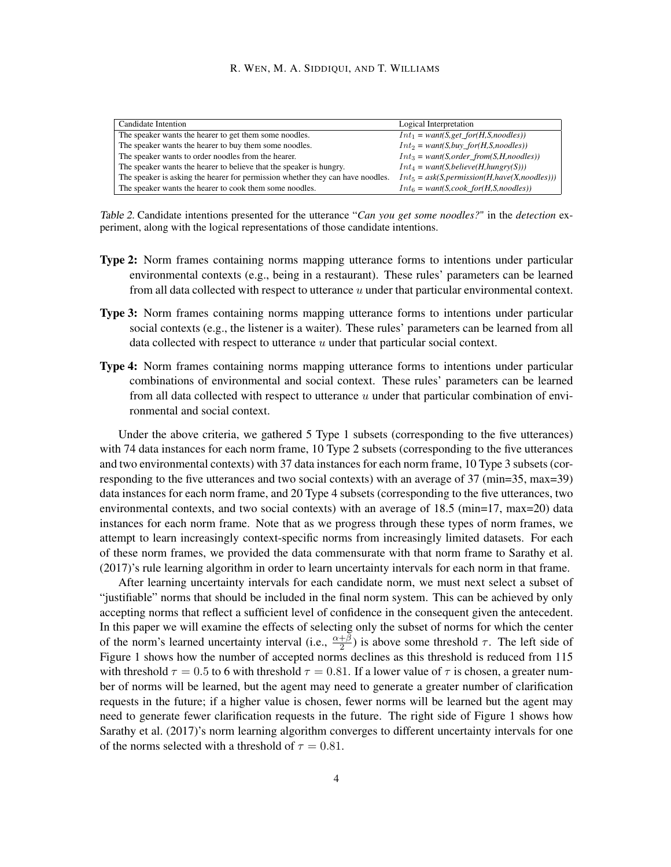#### R. WEN, M. A. SIDDIQUI, AND T. WILLIAMS

| Candidate Intention                                                            | Logical Interpretation                           |
|--------------------------------------------------------------------------------|--------------------------------------------------|
| The speaker wants the hearer to get them some noodles.                         | $Int_1 = want(S, get\_for(H, S, noodes))$        |
| The speaker wants the hearer to buy them some noodles.                         | $Int_2 = want(S, buy\_for(H, S, noodes))$        |
| The speaker wants to order noodles from the hearer.                            | $Int_3 = want(S, order\_from(S, H, noodes))$     |
| The speaker wants the hearer to believe that the speaker is hungry.            | $Int_4 = want(S, believe(H, hungr)(S)))$         |
| The speaker is asking the hearer for permission whether they can have noodles. | $Int_5 = ask(S, permission(H, have(X, noodes)))$ |
| The speaker wants the hearer to cook them some noodles.                        | $Int_6 = want(S, cosk\_for(H,S,models))$         |

Table 2. Candidate intentions presented for the utterance "*Can you get some noodles?*" in the *detection* experiment, along with the logical representations of those candidate intentions.

- Type 2: Norm frames containing norms mapping utterance forms to intentions under particular environmental contexts (e.g., being in a restaurant). These rules' parameters can be learned from all data collected with respect to utterance  $u$  under that particular environmental context.
- Type 3: Norm frames containing norms mapping utterance forms to intentions under particular social contexts (e.g., the listener is a waiter). These rules' parameters can be learned from all data collected with respect to utterance  $u$  under that particular social context.
- Type 4: Norm frames containing norms mapping utterance forms to intentions under particular combinations of environmental and social context. These rules' parameters can be learned from all data collected with respect to utterance  $u$  under that particular combination of environmental and social context.

Under the above criteria, we gathered 5 Type 1 subsets (corresponding to the five utterances) with 74 data instances for each norm frame, 10 Type 2 subsets (corresponding to the five utterances and two environmental contexts) with 37 data instances for each norm frame, 10 Type 3 subsets (corresponding to the five utterances and two social contexts) with an average of 37 (min=35, max=39) data instances for each norm frame, and 20 Type 4 subsets (corresponding to the five utterances, two environmental contexts, and two social contexts) with an average of 18.5 (min=17, max=20) data instances for each norm frame. Note that as we progress through these types of norm frames, we attempt to learn increasingly context-specific norms from increasingly limited datasets. For each of these norm frames, we provided the data commensurate with that norm frame to Sarathy et al. (2017)'s rule learning algorithm in order to learn uncertainty intervals for each norm in that frame.

After learning uncertainty intervals for each candidate norm, we must next select a subset of "justifiable" norms that should be included in the final norm system. This can be achieved by only accepting norms that reflect a sufficient level of confidence in the consequent given the antecedent. In this paper we will examine the effects of selecting only the subset of norms for which the center of the norm's learned uncertainty interval (i.e.,  $\frac{\alpha+\beta}{2}$ ) is above some threshold  $\tau$ . The left side of Figure 1 shows how the number of accepted norms declines as this threshold is reduced from 115 with threshold  $\tau = 0.5$  to 6 with threshold  $\tau = 0.81$ . If a lower value of  $\tau$  is chosen, a greater number of norms will be learned, but the agent may need to generate a greater number of clarification requests in the future; if a higher value is chosen, fewer norms will be learned but the agent may need to generate fewer clarification requests in the future. The right side of Figure 1 shows how Sarathy et al. (2017)'s norm learning algorithm converges to different uncertainty intervals for one of the norms selected with a threshold of  $\tau = 0.81$ .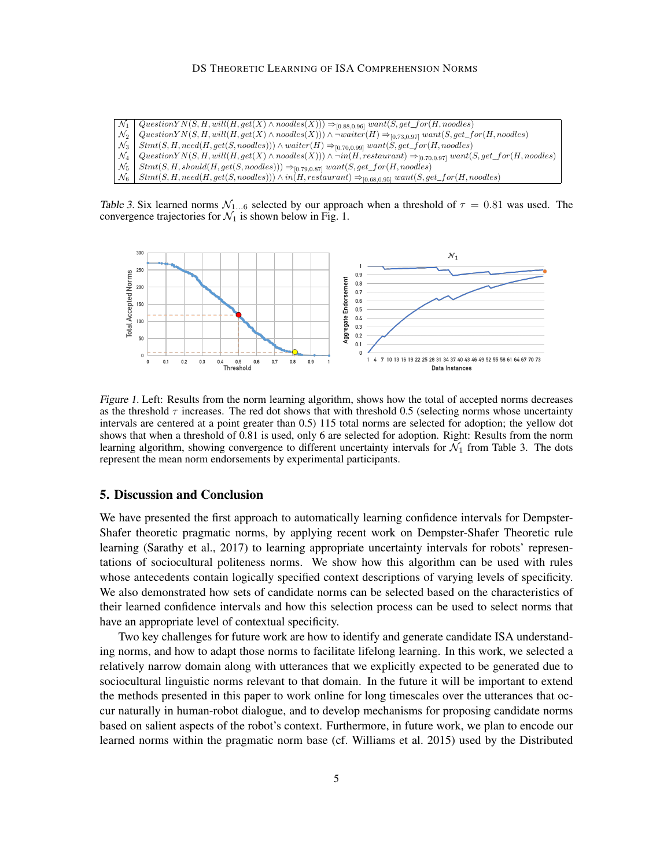- $\mathcal{N}_1 \ \big| \ \textit{QuestionYN}(S,H, will (H, get(X) \wedge \textit{nodes}(X))) \Rightarrow_{[0.88,0.96]} \textit{want}(S, get\_for(H, \textit{nodes})$  $\mathcal{N}_2$  Question  $YN(S, H, will(H, get(X) \wedge nodes(X))) \wedge \neg water(H) \Rightarrow_{[0.70,0.99]} want(S, get\_for(H, nodes))$ <br> $\mathcal{N}_3$  Stmt(S, H, need(H, get(S, noodles)))  $\wedge$  waiter(H)  $\Rightarrow_{[0.70,0.99]} want(S, get\_for(H, nodes))$  $N_3$   $\left\{\n \begin{array}{l}\n \text{Strut}(S, H, need(H, get(S, noodes))) \wedge \text{water}(H) \Rightarrow_{[0.70, 0.99]} \text{want}(S, get\_for(H, noodes)) \\
N_4 \left\{\n \text{QuestionY N}(S, H, will(H, get(X) \wedge noodes(X))) \wedge \neg in(H, restaurant) \Rightarrow_{[0.70, 0.97]} \text{want}(S, result)\n \end{array}\n \right\}$
- $Question YN(S, H, will (H, get(X) \wedge nodes(X))) \wedge \neg in(H, restaurant) \Rightarrow_{[0.70, 0.97]} want(S, get\_for(H, nodes))$
- $\mathcal{N}_5$  Stmt(S, H, should(H, get(S, noodles)))  $\Rightarrow$  [0.79,0.87] want(S, get\_for(H, noodles)

 $N_6$  Stmt(S, H, need(H, get(S, noodles)))  $\land$  in(H, restaurant)  $\Rightarrow$  [0.68,0.95] want(S, get\_for(H, noodles)

Table 3. Six learned norms  $\mathcal{N}_{1...6}$  selected by our approach when a threshold of  $\tau = 0.81$  was used. The convergence trajectories for  $\mathcal{N}_1$  is shown below in Fig. 1.



Figure 1. Left: Results from the norm learning algorithm, shows how the total of accepted norms decreases as the threshold  $\tau$  increases. The red dot shows that with threshold 0.5 (selecting norms whose uncertainty intervals are centered at a point greater than 0.5) 115 total norms are selected for adoption; the yellow dot shows that when a threshold of 0.81 is used, only 6 are selected for adoption. Right: Results from the norm learning algorithm, showing convergence to different uncertainty intervals for  $\mathcal{N}_1$  from Table 3. The dots represent the mean norm endorsements by experimental participants.

## 5. Discussion and Conclusion

We have presented the first approach to automatically learning confidence intervals for Dempster-Shafer theoretic pragmatic norms, by applying recent work on Dempster-Shafer Theoretic rule learning (Sarathy et al., 2017) to learning appropriate uncertainty intervals for robots' representations of sociocultural politeness norms. We show how this algorithm can be used with rules whose antecedents contain logically specified context descriptions of varying levels of specificity. We also demonstrated how sets of candidate norms can be selected based on the characteristics of their learned confidence intervals and how this selection process can be used to select norms that have an appropriate level of contextual specificity.

Two key challenges for future work are how to identify and generate candidate ISA understanding norms, and how to adapt those norms to facilitate lifelong learning. In this work, we selected a relatively narrow domain along with utterances that we explicitly expected to be generated due to sociocultural linguistic norms relevant to that domain. In the future it will be important to extend the methods presented in this paper to work online for long timescales over the utterances that occur naturally in human-robot dialogue, and to develop mechanisms for proposing candidate norms based on salient aspects of the robot's context. Furthermore, in future work, we plan to encode our learned norms within the pragmatic norm base (cf. Williams et al. 2015) used by the Distributed